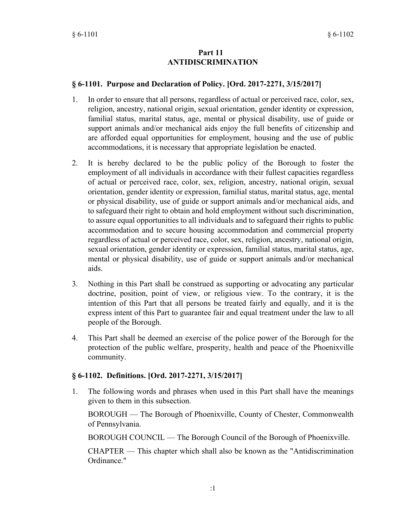### **Part 11 ANTIDISCRIMINATION**

### **§ 6-1101. Purpose and Declaration of Policy. [Ord. 2017-2271, 3/15/2017]**

- In order to ensure that all persons, regardless of actual or perceived race, color, sex, religion, ancestry, national origin, sexual orientation, gender identity or expression, familial status, marital status, age, mental or physical disability, use of guide or support animals and/or mechanical aids enjoy the full benefits of citizenship and are afforded equal opportunities for employment, housing and the use of public accommodations, it is necessary that appropriate legislation be enacted. 1.
- It is hereby declared to be the public policy of the Borough to foster the employment of all individuals in accordance with their fullest capacities regardless of actual or perceived race, color, sex, religion, ancestry, national origin, sexual orientation, gender identity or expression, familial status, marital status, age, mental or physical disability, use of guide or support animals and/or mechanical aids, and to safeguard their right to obtain and hold employment without such discrimination, to assure equal opportunities to all individuals and to safeguard their rights to public accommodation and to secure housing accommodation and commercial property regardless of actual or perceived race, color, sex, religion, ancestry, national origin, sexual orientation, gender identity or expression, familial status, marital status, age, mental or physical disability, use of guide or support animals and/or mechanical aids. 2.
- Nothing in this Part shall be construed as supporting or advocating any particular doctrine, position, point of view, or religious view. To the contrary, it is the intention of this Part that all persons be treated fairly and equally, and it is the express intent of this Part to guarantee fair and equal treatment under the law to all people of the Borough. 3.
- This Part shall be deemed an exercise of the police power of the Borough for the protection of the public welfare, prosperity, health and peace of the Phoenixville community. 4.

#### **§ 6-1102. Definitions. [Ord. 2017-2271, 3/15/2017]**

The following words and phrases when used in this Part shall have the meanings given to them in this subsection. 1.

BOROUGH — The Borough of Phoenixville, County of Chester, Commonwealth of Pennsylvania.

BOROUGH COUNCIL — The Borough Council of the Borough of Phoenixville.

CHAPTER — This chapter which shall also be known as the "Antidiscrimination Ordinance."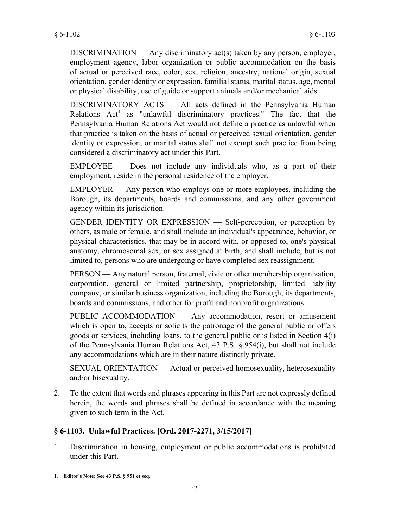$DISCRIMINATION$  — Any discriminatory act(s) taken by any person, employer, employment agency, labor organization or public accommodation on the basis of actual or perceived race, color, sex, religion, ancestry, national origin, sexual orientation, gender identity or expression, familial status, marital status, age, mental or physical disability, use of guide or support animals and/or mechanical aids.

DISCRIMINATORY ACTS — All acts defined in the Pennsylvania Human Relations Act<sup>1</sup> as "unlawful discriminatory practices." The fact that the Pennsylvania Human Relations Act would not define a practice as unlawful when that practice is taken on the basis of actual or perceived sexual orientation, gender identity or expression, or marital status shall not exempt such practice from being considered a discriminatory act under this Part.

EMPLOYEE — Does not include any individuals who, as a part of their employment, reside in the personal residence of the employer.

EMPLOYER — Any person who employs one or more employees, including the Borough, its departments, boards and commissions, and any other government agency within its jurisdiction.

GENDER IDENTITY OR EXPRESSION — Self-perception, or perception by others, as male or female, and shall include an individual's appearance, behavior, or physical characteristics, that may be in accord with, or opposed to, one's physical anatomy, chromosomal sex, or sex assigned at birth, and shall include, but is not limited to, persons who are undergoing or have completed sex reassignment.

PERSON — Any natural person, fraternal, civic or other membership organization, corporation, general or limited partnership, proprietorship, limited liability company, or similar business organization, including the Borough, its departments, boards and commissions, and other for profit and nonprofit organizations.

PUBLIC ACCOMMODATION — Any accommodation, resort or amusement which is open to, accepts or solicits the patronage of the general public or offers goods or services, including loans, to the general public or is listed in Section 4(i) of the Pennsylvania Human Relations Act, 43 P.S. § 954(i), but shall not include any accommodations which are in their nature distinctly private.

SEXUAL ORIENTATION — Actual or perceived homosexuality, heterosexuality and/or bisexuality.

To the extent that words and phrases appearing in this Part are not expressly defined herein, the words and phrases shall be defined in accordance with the meaning given to such term in the Act. 2.

## **§ 6-1103. Unlawful Practices. [Ord. 2017-2271, 3/15/2017]**

Discrimination in housing, employment or public accommodations is prohibited under this Part. 1.

**<sup>1.</sup> Editor's Note: See 43 P.S. § 951 et seq.**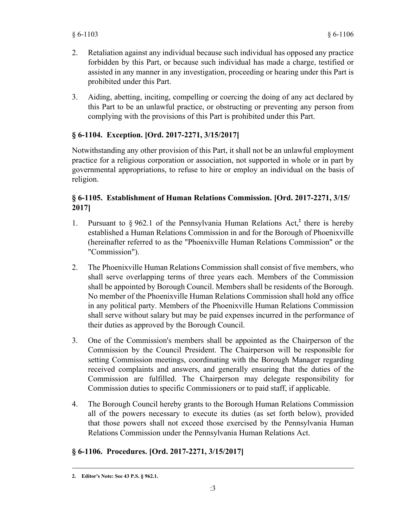- Retaliation against any individual because such individual has opposed any practice forbidden by this Part, or because such individual has made a charge, testified or assisted in any manner in any investigation, proceeding or hearing under this Part is prohibited under this Part. 2.
- Aiding, abetting, inciting, compelling or coercing the doing of any act declared by this Part to be an unlawful practice, or obstructing or preventing any person from complying with the provisions of this Part is prohibited under this Part. 3.

# **§ 6-1104. Exception. [Ord. 2017-2271, 3/15/2017]**

Notwithstanding any other provision of this Part, it shall not be an unlawful employment practice for a religious corporation or association, not supported in whole or in part by governmental appropriations, to refuse to hire or employ an individual on the basis of religion.

## **§ 6-1105. Establishment of Human Relations Commission. [Ord. 2017-2271, 3/15/ 2017]**

- Pursuant to  $\S$  962.1 of the Pennsylvania Human Relations Act,<sup>2</sup> there is hereby established a Human Relations Commission in and for the Borough of Phoenixville (hereinafter referred to as the "Phoenixville Human Relations Commission" or the "Commission"). 1.
- The Phoenixville Human Relations Commission shall consist of five members, who shall serve overlapping terms of three years each. Members of the Commission shall be appointed by Borough Council. Members shall be residents of the Borough. No member of the Phoenixville Human Relations Commission shall hold any office in any political party. Members of the Phoenixville Human Relations Commission shall serve without salary but may be paid expenses incurred in the performance of their duties as approved by the Borough Council. 2.
- One of the Commission's members shall be appointed as the Chairperson of the Commission by the Council President. The Chairperson will be responsible for setting Commission meetings, coordinating with the Borough Manager regarding received complaints and answers, and generally ensuring that the duties of the Commission are fulfilled. The Chairperson may delegate responsibility for Commission duties to specific Commissioners or to paid staff, if applicable. 3.
- The Borough Council hereby grants to the Borough Human Relations Commission all of the powers necessary to execute its duties (as set forth below), provided that those powers shall not exceed those exercised by the Pennsylvania Human Relations Commission under the Pennsylvania Human Relations Act. 4.

# **§ 6-1106. Procedures. [Ord. 2017-2271, 3/15/2017]**

**<sup>2.</sup> Editor's Note: See 43 P.S. § 962.1.**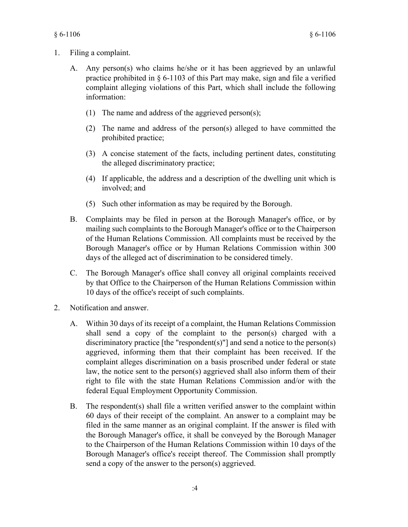- Filing a complaint. 1.
	- Any person(s) who claims he/she or it has been aggrieved by an unlawful practice prohibited in § 6-1103 of this Part may make, sign and file a verified complaint alleging violations of this Part, which shall include the following information: A.
		- (1) The name and address of the aggrieved person(s);
		- $(2)$  The name and address of the person(s) alleged to have committed the prohibited practice;
		- A concise statement of the facts, including pertinent dates, constituting (3) the alleged discriminatory practice;
		- (4) If applicable, the address and a description of the dwelling unit which is involved; and
		- (5) Such other information as may be required by the Borough.
	- Complaints may be filed in person at the Borough Manager's office, or by mailing such complaints to the Borough Manager's office or to the Chairperson of the Human Relations Commission. All complaints must be received by the Borough Manager's office or by Human Relations Commission within 300 days of the alleged act of discrimination to be considered timely. B.
	- The Borough Manager's office shall convey all original complaints received C. by that Office to the Chairperson of the Human Relations Commission within 10 days of the office's receipt of such complaints.
- Notification and answer. 2.
	- Within 30 days of its receipt of a complaint, the Human Relations Commission A. shall send a copy of the complaint to the person(s) charged with a discriminatory practice [the "respondent(s)"] and send a notice to the person(s) aggrieved, informing them that their complaint has been received. If the complaint alleges discrimination on a basis proscribed under federal or state law, the notice sent to the person(s) aggrieved shall also inform them of their right to file with the state Human Relations Commission and/or with the federal Equal Employment Opportunity Commission.
	- The respondent(s) shall file a written verified answer to the complaint within 60 days of their receipt of the complaint. An answer to a complaint may be filed in the same manner as an original complaint. If the answer is filed with the Borough Manager's office, it shall be conveyed by the Borough Manager to the Chairperson of the Human Relations Commission within 10 days of the Borough Manager's office's receipt thereof. The Commission shall promptly send a copy of the answer to the person(s) aggrieved. B.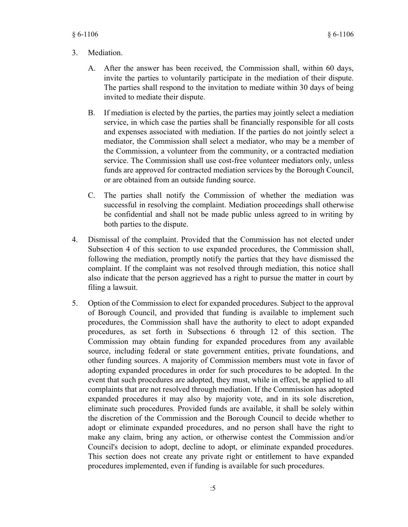#### **Mediation** 3.

- After the answer has been received, the Commission shall, within 60 days, invite the parties to voluntarily participate in the mediation of their dispute. The parties shall respond to the invitation to mediate within 30 days of being invited to mediate their dispute. A.
- If mediation is elected by the parties, the parties may jointly select a mediation service, in which case the parties shall be financially responsible for all costs and expenses associated with mediation. If the parties do not jointly select a mediator, the Commission shall select a mediator, who may be a member of the Commission, a volunteer from the community, or a contracted mediation service. The Commission shall use cost-free volunteer mediators only, unless funds are approved for contracted mediation services by the Borough Council, or are obtained from an outside funding source. B.
- The parties shall notify the Commission of whether the mediation was successful in resolving the complaint. Mediation proceedings shall otherwise be confidential and shall not be made public unless agreed to in writing by both parties to the dispute. C.
- Dismissal of the complaint. Provided that the Commission has not elected under Subsection 4 of this section to use expanded procedures, the Commission shall, following the mediation, promptly notify the parties that they have dismissed the complaint. If the complaint was not resolved through mediation, this notice shall also indicate that the person aggrieved has a right to pursue the matter in court by filing a lawsuit. 4.
- Option of the Commission to elect for expanded procedures. Subject to the approval of Borough Council, and provided that funding is available to implement such procedures, the Commission shall have the authority to elect to adopt expanded procedures, as set forth in Subsections 6 through 12 of this section. The Commission may obtain funding for expanded procedures from any available source, including federal or state government entities, private foundations, and other funding sources. A majority of Commission members must vote in favor of adopting expanded procedures in order for such procedures to be adopted. In the event that such procedures are adopted, they must, while in effect, be applied to all complaints that are not resolved through mediation. If the Commission has adopted expanded procedures it may also by majority vote, and in its sole discretion, eliminate such procedures. Provided funds are available, it shall be solely within the discretion of the Commission and the Borough Council to decide whether to adopt or eliminate expanded procedures, and no person shall have the right to make any claim, bring any action, or otherwise contest the Commission and/or Council's decision to adopt, decline to adopt, or eliminate expanded procedures. This section does not create any private right or entitlement to have expanded procedures implemented, even if funding is available for such procedures. 5.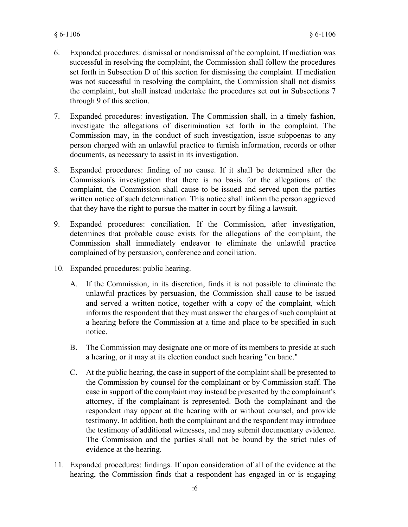- Expanded procedures: dismissal or nondismissal of the complaint. If mediation was successful in resolving the complaint, the Commission shall follow the procedures set forth in Subsection D of this section for dismissing the complaint. If mediation was not successful in resolving the complaint, the Commission shall not dismiss the complaint, but shall instead undertake the procedures set out in Subsections 7 through 9 of this section. 6.
- Expanded procedures: investigation. The Commission shall, in a timely fashion, investigate the allegations of discrimination set forth in the complaint. The Commission may, in the conduct of such investigation, issue subpoenas to any person charged with an unlawful practice to furnish information, records or other documents, as necessary to assist in its investigation. 7.
- Expanded procedures: finding of no cause. If it shall be determined after the Commission's investigation that there is no basis for the allegations of the complaint, the Commission shall cause to be issued and served upon the parties written notice of such determination. This notice shall inform the person aggrieved that they have the right to pursue the matter in court by filing a lawsuit. 8.
- Expanded procedures: conciliation. If the Commission, after investigation, determines that probable cause exists for the allegations of the complaint, the Commission shall immediately endeavor to eliminate the unlawful practice complained of by persuasion, conference and conciliation. 9.
- Expanded procedures: public hearing. 10.
	- A. If the Commission, in its discretion, finds it is not possible to eliminate the unlawful practices by persuasion, the Commission shall cause to be issued and served a written notice, together with a copy of the complaint, which informs the respondent that they must answer the charges of such complaint at a hearing before the Commission at a time and place to be specified in such notice.
	- The Commission may designate one or more of its members to preside at such a hearing, or it may at its election conduct such hearing "en banc." B.
	- At the public hearing, the case in support of the complaint shall be presented to the Commission by counsel for the complainant or by Commission staff. The case in support of the complaint may instead be presented by the complainant's attorney, if the complainant is represented. Both the complainant and the respondent may appear at the hearing with or without counsel, and provide testimony. In addition, both the complainant and the respondent may introduce the testimony of additional witnesses, and may submit documentary evidence. The Commission and the parties shall not be bound by the strict rules of evidence at the hearing. C.
- Expanded procedures: findings. If upon consideration of all of the evidence at the 11. hearing, the Commission finds that a respondent has engaged in or is engaging